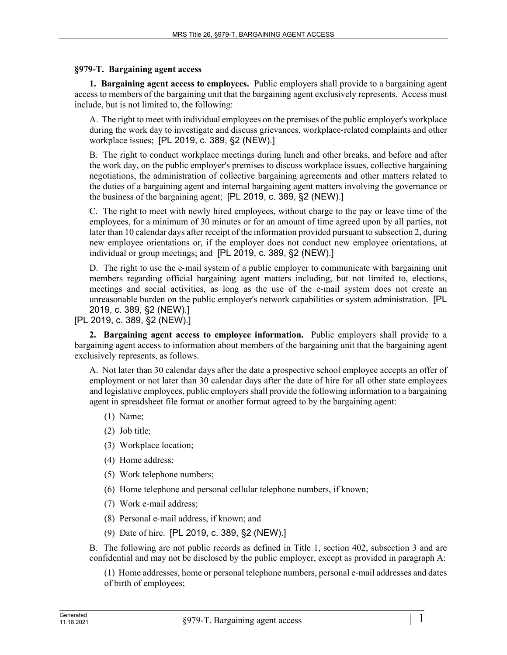## **§979-T. Bargaining agent access**

**1. Bargaining agent access to employees.** Public employers shall provide to a bargaining agent access to members of the bargaining unit that the bargaining agent exclusively represents. Access must include, but is not limited to, the following:

A. The right to meet with individual employees on the premises of the public employer's workplace during the work day to investigate and discuss grievances, workplace-related complaints and other workplace issues; [PL 2019, c. 389, §2 (NEW).]

B. The right to conduct workplace meetings during lunch and other breaks, and before and after the work day, on the public employer's premises to discuss workplace issues, collective bargaining negotiations, the administration of collective bargaining agreements and other matters related to the duties of a bargaining agent and internal bargaining agent matters involving the governance or the business of the bargaining agent; [PL 2019, c. 389, §2 (NEW).]

C. The right to meet with newly hired employees, without charge to the pay or leave time of the employees, for a minimum of 30 minutes or for an amount of time agreed upon by all parties, not later than 10 calendar days after receipt of the information provided pursuant to subsection 2, during new employee orientations or, if the employer does not conduct new employee orientations, at individual or group meetings; and [PL 2019, c. 389, §2 (NEW).]

D. The right to use the e-mail system of a public employer to communicate with bargaining unit members regarding official bargaining agent matters including, but not limited to, elections, meetings and social activities, as long as the use of the e-mail system does not create an unreasonable burden on the public employer's network capabilities or system administration. [PL 2019, c. 389, §2 (NEW).]

[PL 2019, c. 389, §2 (NEW).]

**2. Bargaining agent access to employee information.** Public employers shall provide to a bargaining agent access to information about members of the bargaining unit that the bargaining agent exclusively represents, as follows.

A. Not later than 30 calendar days after the date a prospective school employee accepts an offer of employment or not later than 30 calendar days after the date of hire for all other state employees and legislative employees, public employers shall provide the following information to a bargaining agent in spreadsheet file format or another format agreed to by the bargaining agent:

- (1) Name;
- (2) Job title;
- (3) Workplace location;
- (4) Home address;
- (5) Work telephone numbers;
- (6) Home telephone and personal cellular telephone numbers, if known;
- (7) Work e-mail address;
- (8) Personal e‑mail address, if known; and
- (9) Date of hire. [PL 2019, c. 389, §2 (NEW).]

B. The following are not public records as defined in Title 1, section 402, subsection 3 and are confidential and may not be disclosed by the public employer, except as provided in paragraph A:

(1) Home addresses, home or personal telephone numbers, personal e‑mail addresses and dates of birth of employees;